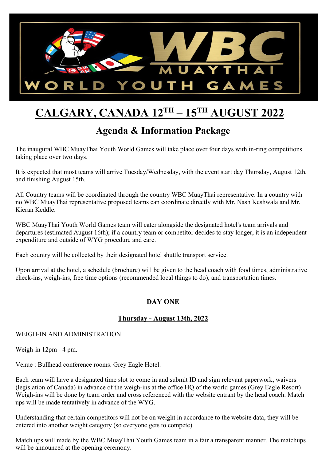

# **CALGARY, CANADA 12TH – 15TH AUGUST 2022**

### **Agenda & Information Package**

The inaugural WBC MuayThai Youth World Games will take place over four days with in-ring competitions taking place over two days.

It is expected that most teams will arrive Tuesday/Wednesday, with the event start day Thursday, August 12th, and finishing August 15th.

All Country teams will be coordinated through the country WBC MuayThai representative. In a country with no WBC MuayThai representative proposed teams can coordinate directly with Mr. Nash Keshwala and Mr. Kieran Keddle.

WBC MuayThai Youth World Games team will cater alongside the designated hotel's team arrivals and departures (estimated August 16th); if a country team or competitor decides to stay longer, it is an independent expenditure and outside of WYG procedure and care.

Each country will be collected by their designated hotel shuttle transport service.

Upon arrival at the hotel, a schedule (brochure) will be given to the head coach with food times, administrative check-ins, weigh-ins, free time options (recommended local things to do), and transportation times.

### **DAY ONE**

### **Thursday - August 13th, 2022**

#### WEIGH-IN AND ADMINISTRATION

Weigh-in 12pm - 4 pm.

Venue : Bullhead conference rooms. Grey Eagle Hotel.

Each team will have a designated time slot to come in and submit ID and sign relevant paperwork, waivers (legislation of Canada) in advance of the weigh-ins at the office HQ of the world games (Grey Eagle Resort) Weigh-ins will be done by team order and cross referenced with the website entrant by the head coach. Match ups will be made tentatively in advance of the WYG.

Understanding that certain competitors will not be on weight in accordance to the website data, they will be entered into another weight category (so everyone gets to compete)

Match ups will made by the WBC MuayThai Youth Games team in a fair a transparent manner. The matchups will be announced at the opening ceremony.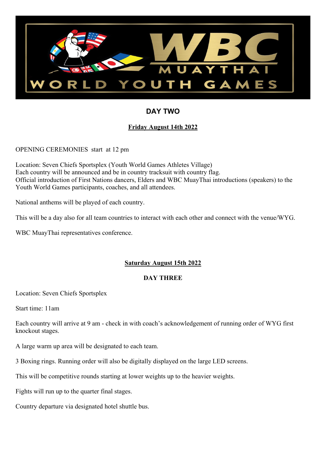

### **DAY TWO**

### **Friday August 14th 2022**

OPENING CEREMONIES start at 12 pm

Location: Seven Chiefs Sportsplex (Youth World Games Athletes Village) Each country will be announced and be in country tracksuit with country flag. Official introduction of First Nations dancers, Elders and WBC MuayThai introductions (speakers) to the Youth World Games participants, coaches, and all attendees.

National anthems will be played of each country.

This will be a day also for all team countries to interact with each other and connect with the venue/WYG.

WBC MuayThai representatives conference.

### **Saturday August 15th 2022**

#### **DAY THREE**

Location: Seven Chiefs Sportsplex

Start time: 11am

Each country will arrive at 9 am - check in with coach's acknowledgement of running order of WYG first knockout stages.

A large warm up area will be designated to each team.

3 Boxing rings. Running order will also be digitally displayed on the large LED screens.

This will be competitive rounds starting at lower weights up to the heavier weights.

Fights will run up to the quarter final stages.

Country departure via designated hotel shuttle bus.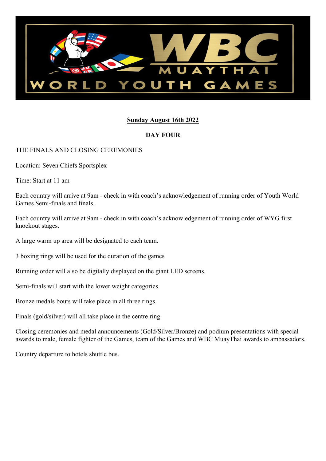

#### **Sunday August 16th 2022**

#### **DAY FOUR**

#### THE FINALS AND CLOSING CEREMONIES

Location: Seven Chiefs Sportsplex

Time: Start at 11 am

Each country will arrive at 9am - check in with coach's acknowledgement of running order of Youth World Games Semi-finals and finals.

Each country will arrive at 9am - check in with coach's acknowledgement of running order of WYG first knockout stages.

A large warm up area will be designated to each team.

3 boxing rings will be used for the duration of the games

Running order will also be digitally displayed on the giant LED screens.

Semi-finals will start with the lower weight categories.

Bronze medals bouts will take place in all three rings.

Finals (gold/silver) will all take place in the centre ring.

Closing ceremonies and medal announcements (Gold/Silver/Bronze) and podium presentations with special awards to male, female fighter of the Games, team of the Games and WBC MuayThai awards to ambassadors.

Country departure to hotels shuttle bus.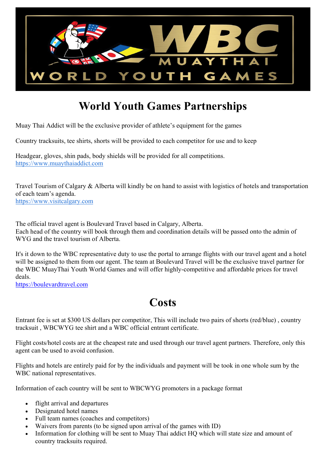

# **World Youth Games Partnerships**

Muay Thai Addict will be the exclusive provider of athlete's equipment for the games

Country tracksuits, tee shirts, shorts will be provided to each competitor for use and to keep

Headgear, gloves, shin pads, body shields will be provided for all competitions. [https://www.muaythaiaddict.com](https://www.muaythaiaddict.com/)

Travel Tourism of Calgary & Alberta will kindly be on hand to assist with logistics of hotels and transportation of each team's agenda. [https://www.visitcalgary.com](https://www.visitcalgary.com/)

The official travel agent is Boulevard Travel based in Calgary, Alberta. Each head of the country will book through them and coordination details will be passed onto the admin of WYG and the travel tourism of Alberta.

It's it down to the WBC representative duty to use the portal to arrange flights with our travel agent and a hotel will be assigned to them from our agent. The team at Boulevard Travel will be the exclusive travel partner for the WBC MuayThai Youth World Games and will offer highly-competitive and affordable prices for travel deals.

[https://boulevardtravel.com](https://boulevardtravel.com/)

## **Costs**

Entrant fee is set at \$300 US dollars per competitor, This will include two pairs of shorts (red/blue) , country tracksuit , WBCWYG tee shirt and a WBC official entrant certificate.

Flight costs/hotel costs are at the cheapest rate and used through our travel agent partners. Therefore, only this agent can be used to avoid confusion.

Flights and hotels are entirely paid for by the individuals and payment will be took in one whole sum by the WBC national representatives.

Information of each country will be sent to WBCWYG promoters in a package format

- flight arrival and departures
- Designated hotel names
- Full team names (coaches and competitors)
- Waivers from parents (to be signed upon arrival of the games with ID)
- Information for clothing will be sent to Muay Thai addict HQ which will state size and amount of country tracksuits required.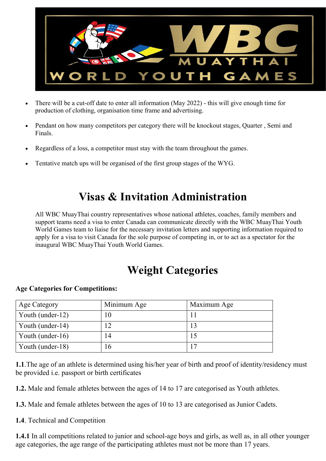

- There will be a cut-off date to enter all information (May 2022) this will give enough time for production of clothing, organisation time frame and advertising.
- Pendant on how many competitors per category there will be knockout stages, Quarter , Semi and Finals.
- Regardless of a loss, a competitor must stay with the team throughout the games.
- Tentative match ups will be organised of the first group stages of the WYG.

## **Visas & Invitation Administration**

All WBC MuayThai country representatives whose national athletes, coaches, family members and support teams need a visa to enter Canada can communicate directly with the WBC MuayThai Youth World Games team to liaise for the necessary invitation letters and supporting information required to apply for a visa to visit Canada for the sole purpose of competing in, or to act as a spectator for the inaugural WBC MuayThai Youth World Games.

## **Weight Categories**

#### **Age Categories for Competitions:**

| <b>Age Category</b> | Minimum Age | Maximum Age |
|---------------------|-------------|-------------|
| Youth (under-12)    |             |             |
| Youth (under-14)    |             |             |
| Youth (under-16)    | 14          |             |
| Youth (under-18)    |             | 17          |

**1.1**.The age of an athlete is determined using his/her year of birth and proof of identity/residency must be provided i.e. passport or birth certificates

**1.2.** Male and female athletes between the ages of 14 to 17 are categorised as Youth athletes.

**1.3.** Male and female athletes between the ages of 10 to 13 are categorised as Junior Cadets.

**1.4**. Technical and Competition

**1.4.1** In all competitions related to junior and school-age boys and girls, as well as, in all other younger age categories, the age range of the participating athletes must not be more than 17 years.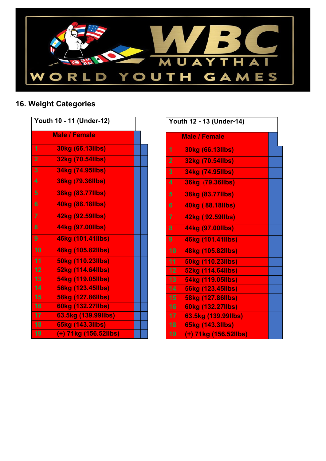

### **16. Weight Categories**

|                | <b>Male / Female</b>  |  |
|----------------|-----------------------|--|
| 1              | 30kg (66.13llbs)      |  |
| $\overline{2}$ | 32kg (70.54llbs)      |  |
| 3              | 34kg (74.95llbs)      |  |
| 4              | 36kg (79.36llbs)      |  |
| 5              | 38kg (83.77llbs)      |  |
| 6              | 40kg (88.18llbs)      |  |
| $\overline{7}$ | 42kg (92.59llbs)      |  |
| 8              | 44kg (97.00llbs)      |  |
| 9              | 46kg (101.41llbs)     |  |
| 10             | 48kg (105.82llbs)     |  |
| 11             | 50kg (110.23llbs)     |  |
| 12             | 52kg (114.64llbs)     |  |
| 13             | 54kg (119.05llbs)     |  |
| 14             | 56kg (123.45llbs)     |  |
| 15             | 58kg (127.86llbs)     |  |
| 16             | 60kg (132.27llbs)     |  |
| 17             | 63.5kg (139.99llbs)   |  |
| 18             | 65kg (143.3llbs)      |  |
| 19             | (+) 71kg (156.52llbs) |  |

| Youth 12 - 13 (Under-14) |                       |  |  |  |  |
|--------------------------|-----------------------|--|--|--|--|
|                          | <b>Male / Female</b>  |  |  |  |  |
| 1                        | 30kg (66.13llbs)      |  |  |  |  |
| $\overline{2}$           | 32kg (70.54llbs)      |  |  |  |  |
| 3                        | 34kg (74.95llbs)      |  |  |  |  |
| 4                        | 36kg (79.36llbs)      |  |  |  |  |
| 5                        | 38kg (83.77llbs)      |  |  |  |  |
| 6                        | 40kg (88.18llbs)      |  |  |  |  |
| $\overline{7}$           | 42kg (92.59llbs)      |  |  |  |  |
| 8                        | 44kg (97.00llbs)      |  |  |  |  |
| 9                        | 46kg (101.41llbs)     |  |  |  |  |
| 10                       | 48kg (105.82llbs)     |  |  |  |  |
| 11                       | 50kg (110.23llbs)     |  |  |  |  |
| 12                       | 52kg (114.64llbs)     |  |  |  |  |
| 13                       | 54kg (119.05llbs)     |  |  |  |  |
| 14                       | 56kg (123.45llbs)     |  |  |  |  |
| 15                       | 58kg (127.86llbs)     |  |  |  |  |
| 16                       | 60kg (132.27llbs)     |  |  |  |  |
| 17                       | 63.5kg (139.99llbs)   |  |  |  |  |
| 18                       | 65kg (143.3llbs)      |  |  |  |  |
| 19                       | (+) 71kg (156.52llbs) |  |  |  |  |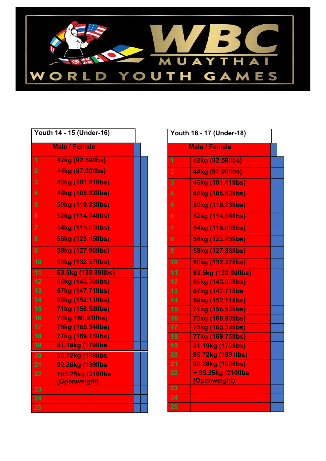

|                | <b>Male / Female</b>     |  |
|----------------|--------------------------|--|
|                |                          |  |
| 1              | 42kg (92.59llbs)         |  |
| $\overline{2}$ | 44kg (97.00llbs)         |  |
| 3              | 46kg (101.41llbs)        |  |
| 4              | 48kg (105.82llbs)        |  |
| 5              | 50kg (110.23llbs)        |  |
| 6              | 52kg (114.64llbs)        |  |
| $\overline{7}$ | 54kg (119.05llbs)        |  |
| 8              | <b>56kg (123.45llbs)</b> |  |
| 9              | 58kg (127.86llbs)        |  |
| 10             | 60kg (132.27llbs)        |  |
| 11             | 63.5kg (139.99llbs)      |  |
| 12             | 65kg (143.30llbs)        |  |
| 13             | 67kg (147.71llbs)        |  |
| 14             | 69kg (152.11llbs)        |  |
| 15             | 71kg (156.52llbs)        |  |
| 16             | 73kg 160.93llbs)         |  |
| 17             | 75kg (165.34llbs)        |  |
| 18             | 77kg (169.75llbs)        |  |
| 19             | 81.19kg (179llbs         |  |
| 20             | 85.72kg (189llbs)        |  |
| 21             | 90.26kg (199llbs)        |  |
| 22             | +95.25kg (210llbs        |  |
|                | (Openweight)             |  |
| 23             |                          |  |
| 24             |                          |  |
| 25             |                          |  |

| Youth 16 - 17 (Under-18) |                     |  |  |
|--------------------------|---------------------|--|--|
| <b>Male / Female</b>     |                     |  |  |
| 1                        | 42kg (92.59llbs)    |  |  |
| $\overline{2}$           | 44kg (97.00llbs)    |  |  |
| 3                        | 46kg (101.41llbs)   |  |  |
| 4                        | 48kg (105.82llbs)   |  |  |
| 5                        | 50kg (110.23llbs)   |  |  |
| 6                        | 52kg (114.64llbs)   |  |  |
| $\overline{7}$           | 54kg (119.05llbs)   |  |  |
| 8                        | 56kg (123.45llbs)   |  |  |
| 9                        | 58kg (127.86llbs)   |  |  |
| 10                       | 60kg (132.27llbs)   |  |  |
| $\overline{11}$          | 63.5kg (139.99llbs) |  |  |
| 12                       | 65kg (143.30llbs)   |  |  |
| 13                       | 67kg (147.71llbs    |  |  |
| 14                       | 69kg (152.11llbs)   |  |  |
| 15                       | 71kg (156.52llbs)   |  |  |
| 16                       | 73kg (160.93llbs)   |  |  |
| 17                       | 75kg (165.34llbs)   |  |  |
| 18                       | 77kg (169.75llbs)   |  |  |
| 19                       | 81.19kg (179llbs)   |  |  |
| 20                       | 85.72kg (189 llbs)  |  |  |
| 21                       | 90.26kg (199llbs)   |  |  |
| 22                       | + 95.25kg (210llbs  |  |  |
|                          | (Openweight)        |  |  |
| 23                       |                     |  |  |
| 24                       |                     |  |  |
| 25                       |                     |  |  |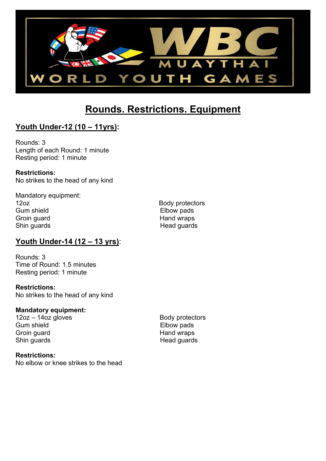

### **Rounds. Restrictions. Equipment**

### **Youth Under-12 (10 – 11yrs):**

Rounds: 3 Length of each Round: 1 minute Resting period: 1 minute

**Restrictions:** No strikes to the head of any kind

Mandatory equipment: 12oz Body protectors Gum shield Gum shield<br>Groin guard Communication of the Hand wraps Groin guard<br>
Shin quards<br>
Head quards Shin guards

### **Youth Under-14 (12 – 13 yrs)**:

Rounds: 3 Time of Round: 1.5 minutes Resting period: 1 minute

**Restrictions:** No strikes to the head of any kind

#### **Mandatory equipment:**

12oz – 14oz gloves entitled by the Body protectors Body protectors<br>
Gum shield by Elbow pads Gum shield<br>Groin quard **Elbow pads**<br>Groin quard Groin guard Shin guards **Head guards** Head guards

**Restrictions:** No elbow or knee strikes to the head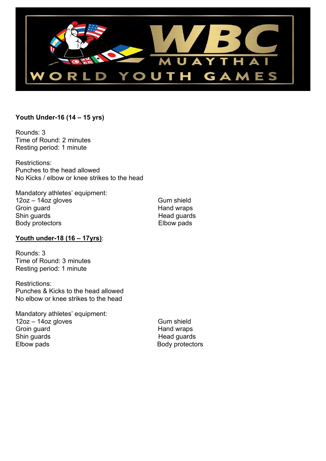

#### **Youth Under-16 (14 – 15 yrs)**

Rounds: 3 Time of Round: 2 minutes Resting period: 1 minute

Restrictions: Punches to the head allowed No Kicks / elbow or knee strikes to the head

Mandatory athletes' equipment: 12oz – 14oz gloves Gum shield Groin guard **Group**<br>
Shin guards **Manual Shin guards**<br>
Head guards Body protectors **Elbow** pads

Head guards

#### **Youth under-18 (16 – 17yrs)**:

Rounds: 3 Time of Round: 3 minutes Resting period: 1 minute

Restrictions: Punches & Kicks to the head allowed No elbow or knee strikes to the head

Mandatory athletes' equipment: 12oz – 14oz gloves Gum shield Groin guard<br>
Shin guards<br>
Head guards
Head guards
Head guards
Head guards
Head guards
Bahin guards
Shin guards
Shin guards
Bahin guard ann an t-Impire ann an t-Impire ann an t-Impire ann an t-Impire ann an t-Impire ann an Elbow pads **Body protectors** Body protectors

Head guards